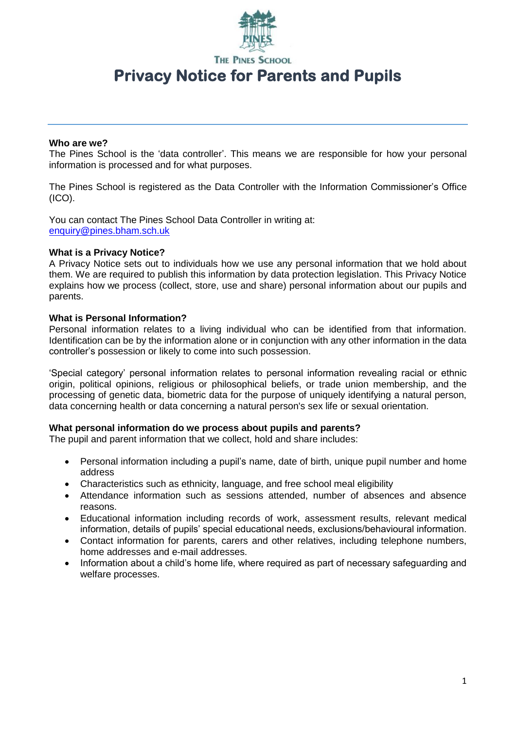

**THE PINES SCHOOL** 

# **Privacy Notice for Parents and Pupils**

#### **Who are we?**

The Pines School is the 'data controller'. This means we are responsible for how your personal information is processed and for what purposes.

The Pines School is registered as the Data Controller with the Information Commissioner's Office (ICO).

You can contact The Pines School Data Controller in writing at: [enquiry@pines.bham.sch.uk](mailto:enquiry@pines.bham.sch.uk)

#### **What is a Privacy Notice?**

A Privacy Notice sets out to individuals how we use any personal information that we hold about them. We are required to publish this information by data protection legislation. This Privacy Notice explains how we process (collect, store, use and share) personal information about our pupils and parents.

## **What is Personal Information?**

Personal information relates to a living individual who can be identified from that information. Identification can be by the information alone or in conjunction with any other information in the data controller's possession or likely to come into such possession.

'Special category' personal information relates to personal information revealing racial or ethnic origin, political opinions, religious or philosophical beliefs, or trade union membership, and the processing of genetic data, biometric data for the purpose of uniquely identifying a natural person, data concerning health or data concerning a natural person's sex life or sexual orientation.

#### **What personal information do we process about pupils and parents?**

The pupil and parent information that we collect, hold and share includes:

- Personal information including a pupil's name, date of birth, unique pupil number and home address
- Characteristics such as ethnicity, language, and free school meal eligibility
- Attendance information such as sessions attended, number of absences and absence reasons.
- Educational information including records of work, assessment results, relevant medical information, details of pupils' special educational needs, exclusions/behavioural information.
- Contact information for parents, carers and other relatives, including telephone numbers, home addresses and e-mail addresses.
- Information about a child's home life, where required as part of necessary safequarding and welfare processes.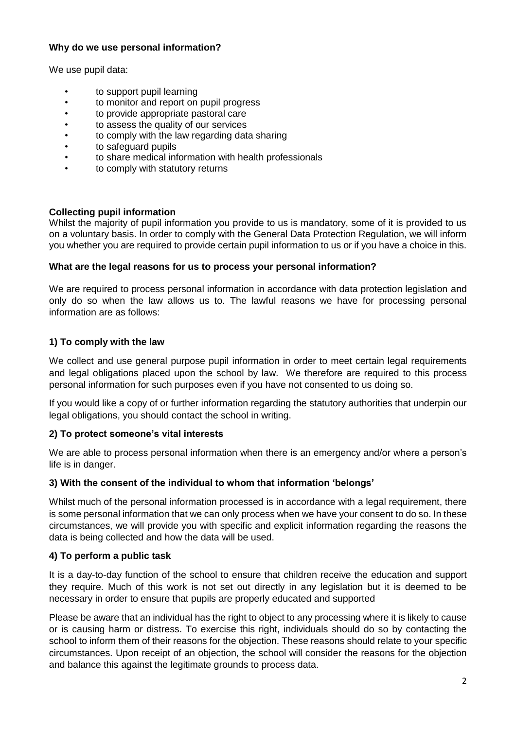## **Why do we use personal information?**

We use pupil data:

- to support pupil learning
- to monitor and report on pupil progress
- to provide appropriate pastoral care
- to assess the quality of our services
- to comply with the law regarding data sharing
- to safeguard pupils
- to share medical information with health professionals
- to comply with statutory returns

## **Collecting pupil information**

Whilst the majority of pupil information you provide to us is mandatory, some of it is provided to us on a voluntary basis. In order to comply with the General Data Protection Regulation, we will inform you whether you are required to provide certain pupil information to us or if you have a choice in this.

## **What are the legal reasons for us to process your personal information?**

We are required to process personal information in accordance with data protection legislation and only do so when the law allows us to. The lawful reasons we have for processing personal information are as follows:

# **1) To comply with the law**

We collect and use general purpose pupil information in order to meet certain legal requirements and legal obligations placed upon the school by law. We therefore are required to this process personal information for such purposes even if you have not consented to us doing so.

If you would like a copy of or further information regarding the statutory authorities that underpin our legal obligations, you should contact the school in writing.

# **2) To protect someone's vital interests**

We are able to process personal information when there is an emergency and/or where a person's life is in danger.

## **3) With the consent of the individual to whom that information 'belongs'**

Whilst much of the personal information processed is in accordance with a legal requirement, there is some personal information that we can only process when we have your consent to do so. In these circumstances, we will provide you with specific and explicit information regarding the reasons the data is being collected and how the data will be used.

# **4) To perform a public task**

It is a day-to-day function of the school to ensure that children receive the education and support they require. Much of this work is not set out directly in any legislation but it is deemed to be necessary in order to ensure that pupils are properly educated and supported

Please be aware that an individual has the right to object to any processing where it is likely to cause or is causing harm or distress. To exercise this right, individuals should do so by contacting the school to inform them of their reasons for the objection. These reasons should relate to your specific circumstances. Upon receipt of an objection, the school will consider the reasons for the objection and balance this against the legitimate grounds to process data.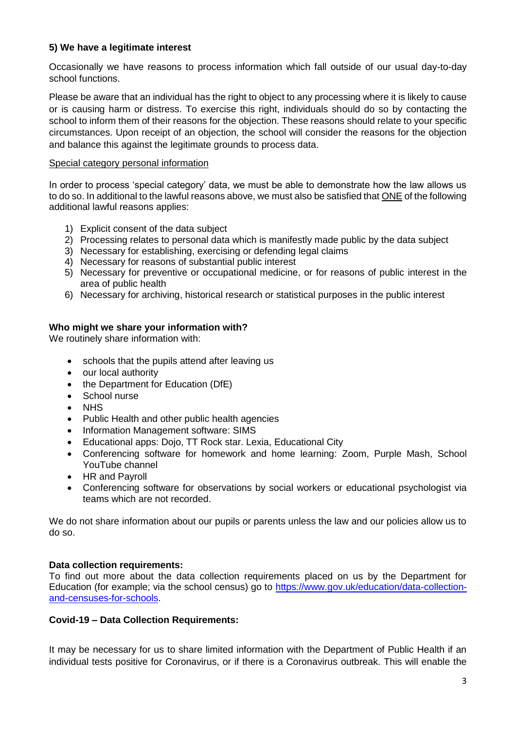## **5) We have a legitimate interest**

Occasionally we have reasons to process information which fall outside of our usual day-to-day school functions.

Please be aware that an individual has the right to object to any processing where it is likely to cause or is causing harm or distress. To exercise this right, individuals should do so by contacting the school to inform them of their reasons for the objection. These reasons should relate to your specific circumstances. Upon receipt of an objection, the school will consider the reasons for the objection and balance this against the legitimate grounds to process data.

## Special category personal information

In order to process 'special category' data, we must be able to demonstrate how the law allows us to do so. In additional to the lawful reasons above, we must also be satisfied that ONE of the following additional lawful reasons applies:

- 1) Explicit consent of the data subject
- 2) Processing relates to personal data which is manifestly made public by the data subject
- 3) Necessary for establishing, exercising or defending legal claims
- 4) Necessary for reasons of substantial public interest
- 5) Necessary for preventive or occupational medicine, or for reasons of public interest in the area of public health
- 6) Necessary for archiving, historical research or statistical purposes in the public interest

## **Who might we share your information with?**

We routinely share information with:

- schools that the pupils attend after leaving us
- our local authority
- the Department for Education (DfE)
- School nurse
- **NHS**
- Public Health and other public health agencies
- Information Management software: SIMS
- Educational apps: Dojo, TT Rock star. Lexia, Educational City
- Conferencing software for homework and home learning: Zoom, Purple Mash, School YouTube channel
- HR and Pavroll
- Conferencing software for observations by social workers or educational psychologist via teams which are not recorded.

We do not share information about our pupils or parents unless the law and our policies allow us to do so.

## **Data collection requirements:**

To find out more about the data collection requirements placed on us by the Department for Education (for example; via the school census) go to [https://www.gov.uk/education/data-collection](https://www.gov.uk/education/data-collection-and-censuses-for-schools)[and-censuses-for-schools.](https://www.gov.uk/education/data-collection-and-censuses-for-schools)

## **Covid-19 – Data Collection Requirements:**

It may be necessary for us to share limited information with the Department of Public Health if an individual tests positive for Coronavirus, or if there is a Coronavirus outbreak. This will enable the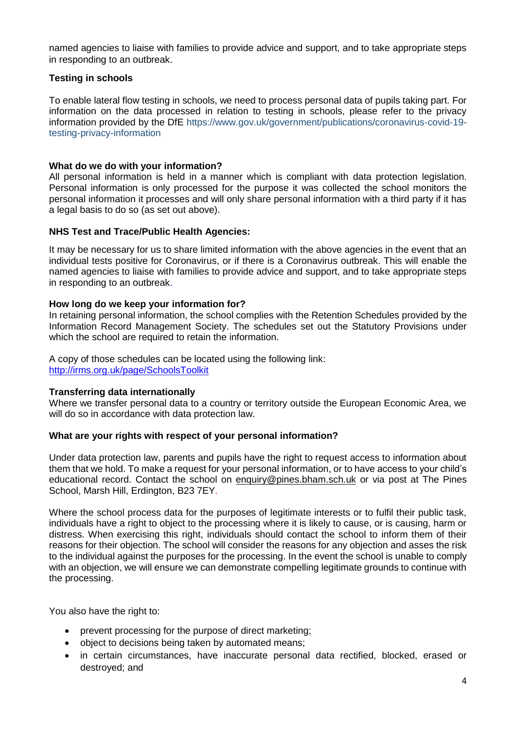named agencies to liaise with families to provide advice and support, and to take appropriate steps in responding to an outbreak.

## **Testing in schools**

To enable lateral flow testing in schools, we need to process personal data of pupils taking part. For information on the data processed in relation to testing in schools, please refer to the privacy information provided by the DfE https://www.gov.uk/government/publications/coronavirus-covid-19 testing-privacy-information

#### **What do we do with your information?**

All personal information is held in a manner which is compliant with data protection legislation. Personal information is only processed for the purpose it was collected the school monitors the personal information it processes and will only share personal information with a third party if it has a legal basis to do so (as set out above).

#### **NHS Test and Trace/Public Health Agencies:**

It may be necessary for us to share limited information with the above agencies in the event that an individual tests positive for Coronavirus, or if there is a Coronavirus outbreak. This will enable the named agencies to liaise with families to provide advice and support, and to take appropriate steps in responding to an outbreak.

#### **How long do we keep your information for?**

In retaining personal information, the school complies with the Retention Schedules provided by the Information Record Management Society. The schedules set out the Statutory Provisions under which the school are required to retain the information.

A copy of those schedules can be located using the following link: <http://irms.org.uk/page/SchoolsToolkit>

#### **Transferring data internationally**

Where we transfer personal data to a country or territory outside the European Economic Area, we will do so in accordance with data protection law.

#### **What are your rights with respect of your personal information?**

Under data protection law, parents and pupils have the right to request access to information about them that we hold. To make a request for your personal information, or to have access to your child's educational record. Contact the school on [enquiry@pines.bham.sch.uk](mailto:enquiry@pines.bham.sch.uk) or via post at The Pines School, Marsh Hill, Erdington, B23 7EY.

Where the school process data for the purposes of legitimate interests or to fulfil their public task, individuals have a right to object to the processing where it is likely to cause, or is causing, harm or distress. When exercising this right, individuals should contact the school to inform them of their reasons for their objection. The school will consider the reasons for any objection and asses the risk to the individual against the purposes for the processing. In the event the school is unable to comply with an objection, we will ensure we can demonstrate compelling legitimate grounds to continue with the processing.

You also have the right to:

- prevent processing for the purpose of direct marketing;
- object to decisions being taken by automated means;
- in certain circumstances, have inaccurate personal data rectified, blocked, erased or destroyed; and